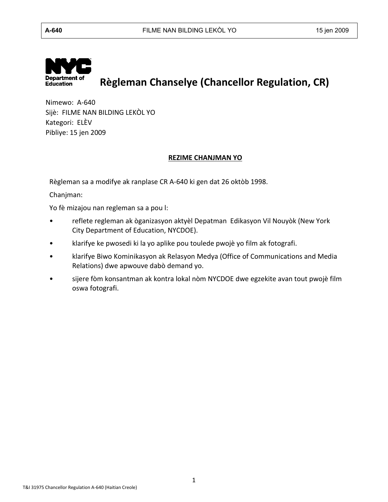

# **Règleman Chanselye (Chancellor Regulation, CR)**

Nimewo: A-640 Sijè: FILME NAN BILDING LEKÒL YO Kategori: ELÈV Pibliye: 15 jen 2009

#### **REZIME CHANJMAN YO**

Règleman sa a modifye ak ranplase CR A-640 ki gen dat 26 oktòb 1998.

Chanjman:

Yo fè mizajou nan regleman sa a pou l:

- reflete regleman ak òganizasyon aktyèl Depatman Edikasyon Vil Nouyòk (New York City Department of Education, NYCDOE).
- klarifye ke pwosedi ki la yo aplike pou toulede pwojè yo film ak fotografi.
- klarifye Biwo Kominikasyon ak Relasyon Medya (Office of Communications and Media Relations) dwe apwouve dabò demand yo.
- sijere fòm konsantman ak kontra lokal nòm NYCDOE dwe egzekite avan tout pwojè film oswa fotografi.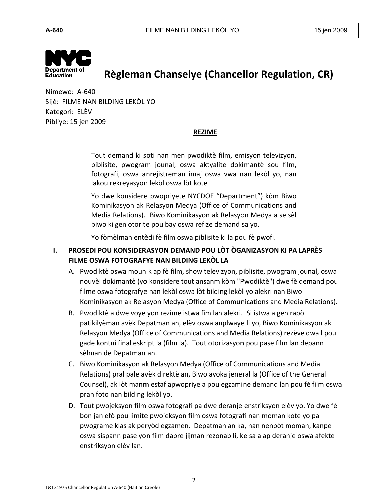

## **Règleman Chanselye (Chancellor Regulation, CR)**

Nimewo: A-640 Sijè: FILME NAN BILDING LEKÒL YO Kategori: ELÈV Pibliye: 15 jen 2009

### **REZIME**

Tout demand ki soti nan men pwodiktè film, emisyon televizyon, piblisite, pwogram jounal, oswa aktyalite dokimantè sou film, fotografi, oswa anrejistreman imaj oswa vwa nan lekòl yo, nan lakou rekreyasyon lekòl oswa lòt kote

Yo dwe konsidere pwopriyete NYCDOE "Department") kòm Biwo Kominikasyon ak Relasyon Medya (Office of Communications and Media Relations). Biwo Kominikasyon ak Relasyon Medya a se sèl biwo ki gen otorite pou bay oswa refize demand sa yo.

Yo fòmèlman entèdi fè film oswa piblisite ki la pou fè pwofi.

### **I. PROSEDI POU KONSIDERASYON DEMAND POU LÒT ÒGANIZASYON KI PA LAPRÈS FILME OSWA FOTOGRAFYE NAN BILDING LEKÒL LA**

- A. Pwodiktè oswa moun k ap fè film, show televizyon, piblisite, pwogram jounal, oswa nouvèl dokimantè (yo konsidere tout ansanm kòm "Pwodiktè") dwe fè demand pou filme oswa fotografye nan lekòl oswa lòt bilding lekòl yo alekri nan Biwo Kominikasyon ak Relasyon Medya (Office of Communications and Media Relations).
- B. Pwodiktè a dwe voye yon rezime istwa fim lan alekri. Si istwa a gen rapò patikilyèman avèk Depatman an, elèv oswa anplwaye li yo, Biwo Kominikasyon ak Relasyon Medya (Office of Communications and Media Relations) rezève dwa l pou gade kontni final eskript la (film la). Tout otorizasyon pou pase film lan depann sèlman de Depatman an.
- C. Biwo Kominikasyon ak Relasyon Medya (Office of Communications and Media Relations) pral pale avèk direktè an, Biwo avoka jeneral la (Office of the General Counsel), ak lòt manm estaf apwopriye a pou egzamine demand lan pou fè film oswa pran foto nan bilding lekòl yo.
- D. Tout pwojeksyon film oswa fotografi pa dwe deranje enstriksyon elèv yo. Yo dwe fè bon jan efò pou limite pwojeksyon film oswa fotografi nan moman kote yo pa pwograme klas ak peryòd egzamen. Depatman an ka, nan nenpòt moman, kanpe oswa sispann pase yon film dapre jijman rezonab li, ke sa a ap deranje oswa afekte enstriksyon elèv lan.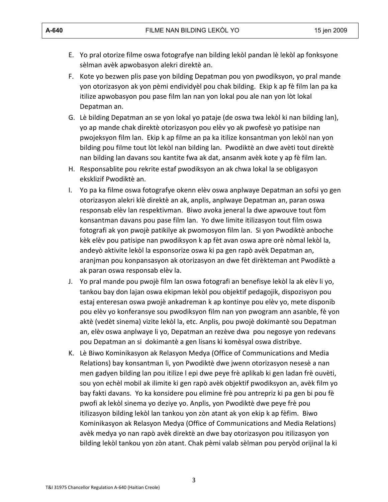- E. Yo pral otorize filme oswa fotografye nan bilding lekòl pandan lè lekòl ap fonksyone sèlman avèk apwobasyon alekri direktè an.
- F. Kote yo bezwen plis pase yon bilding Depatman pou yon pwodiksyon, yo pral mande yon otorizasyon ak yon pèmi endividyèl pou chak bilding. Ekip k ap fè film lan pa ka itilize apwobasyon pou pase film lan nan yon lokal pou ale nan yon lòt lokal Depatman an.
- G. Lè bilding Depatman an se yon lokal yo pataje (de oswa twa lekòl ki nan bilding lan), yo ap mande chak direktè otorizasyon pou elèv yo ak pwofesè yo patisipe nan pwojeksyon film lan. Ekip k ap filme an pa ka itilize konsantman yon lekòl nan yon bilding pou filme tout lòt lekòl nan bilding lan. Pwodiktè an dwe avèti tout direktè nan bilding lan davans sou kantite fwa ak dat, ansanm avèk kote y ap fè film lan.
- H. Responsablite pou rekrite estaf pwodiksyon an ak chwa lokal la se obligasyon eksklizif Pwodiktè an.
- I. Yo pa ka filme oswa fotografye okenn elèv oswa anplwaye Depatman an sofsi yo gen otorizasyon alekri klè direktè an ak, anplis, anplwaye Depatman an, paran oswa responsab elèv lan respektivman. Biwo avoka jeneral la dwe apwouve tout fòm konsantman davans pou pase film lan. Yo dwe limite itilizasyon tout film oswa fotografi ak yon pwojè patikilye ak pwomosyon film lan. Si yon Pwodiktè anboche kèk elèv pou patisipe nan pwodiksyon k ap fèt avan oswa apre orè nòmal lekòl la, andeyò aktivite lekòl la esponsorize oswa ki pa gen rapò avèk Depatman an, aranjman pou konpansasyon ak otorizasyon an dwe fèt dirèkteman ant Pwodiktè a ak paran oswa responsab elèv la.
- J. Yo pral mande pou pwojè film lan oswa fotografi an benefisye lekòl la ak elèv li yo, tankou bay don lajan oswa ekipman lekòl pou objektif pedagojik, dispozisyon pou estaj enteresan oswa pwojè ankadreman k ap kontinye pou elèv yo, mete disponib pou elèv yo konferansye sou pwodiksyon film nan yon pwogram ann asanble, fè yon aktè (vedèt sinema) vizite lekòl la, etc. Anplis, pou pwojè dokimantè sou Depatman an, elèv oswa anplwaye li yo, Depatman an rezève dwa pou negosye yon redevans pou Depatman an si dokimantè a gen lisans ki komèsyal oswa distribye.
- K. Lè Biwo Kominikasyon ak Relasyon Medya (Office of Communications and Media Relations) bay konsantman li, yon Pwodiktè dwe jwenn otorizasyon nesesè a nan men gadyen bilding lan pou itilize l epi dwe peye frè aplikab ki gen ladan frè ouvèti, sou yon echèl mobil ak ilimite ki gen rapò avèk objektif pwodiksyon an, avèk film yo bay fakti davans. Yo ka konsidere pou elimine frè pou antrepriz ki pa gen bi pou fè pwofi ak lekòl sinema yo deziye yo. Anplis, yon Pwodiktè dwe peye frè pou itilizasyon bilding lekòl lan tankou yon zòn atant ak yon ekip k ap fèfim. Biwo Kominikasyon ak Relasyon Medya (Office of Communications and Media Relations) avèk medya yo nan rapò avèk direktè an dwe bay otorizasyon pou itilizasyon yon bilding lekòl tankou yon zòn atant. Chak pèmi valab sèlman pou peryòd orijinal la ki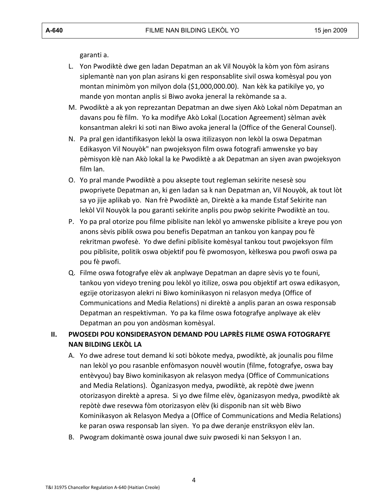garanti a.

- L. Yon Pwodiktè dwe gen ladan Depatman an ak Vil Nouyòk la kòm yon fòm asirans siplemantè nan yon plan asirans ki gen responsablite sivil oswa komèsyal pou yon montan minimòm yon milyon dola (\$1,000,000.00). Nan kèk ka patikilye yo, yo mande yon montan anplis si Biwo avoka jeneral la rekòmande sa a.
- M. Pwodiktè a ak yon reprezantan Depatman an dwe siyen Akò Lokal nòm Depatman an davans pou fè film. Yo ka modifye Akò Lokal (Location Agreement) sèlman avèk konsantman alekri ki soti nan Biwo avoka jeneral la (Office of the General Counsel).
- N. Pa pral gen idantifikasyon lekòl la oswa itilizasyon non lekòl la oswa Depatman Edikasyon Vil Nouyòk" nan pwojeksyon film oswa fotografi amwenske yo bay pèmisyon klè nan Akò lokal la ke Pwodiktè a ak Depatman an siyen avan pwojeksyon film lan.
- O. Yo pral mande Pwodiktè a pou aksepte tout regleman sekirite nesesè sou pwopriyete Depatman an, ki gen ladan sa k nan Depatman an, Vil Nouyòk, ak tout lòt sa yo jije aplikab yo. Nan frè Pwodiktè an, Direktè a ka mande Estaf Sekirite nan lekòl Vil Nouyòk la pou garanti sekirite anplis pou pwòp sekirite Pwodiktè an tou.
- P. Yo pa pral otorize pou filme piblisite nan lekòl yo amwenske piblisite a kreye pou yon anons sèvis piblik oswa pou benefis Depatman an tankou yon kanpay pou fè rekritman pwofesè. Yo dwe defini piblisite komèsyal tankou tout pwojeksyon film pou piblisite, politik oswa objektif pou fè pwomosyon, kèlkeswa pou pwofi oswa pa pou fè pwofi.
- Q. Filme oswa fotografye elèv ak anplwaye Depatman an dapre sèvis yo te founi, tankou yon videyo trening pou lekòl yo itilize, oswa pou objektif art oswa edikasyon, egzije otorizasyon alekri ni Biwo kominikasyon ni relasyon medya (Office of Communications and Media Relations) ni direktè a anplis paran an oswa responsab Depatman an respektivman. Yo pa ka filme oswa fotografye anplwaye ak elèv Depatman an pou yon andòsman komèsyal.

## **II. PWOSEDI POU KONSIDERASYON DEMAND POU LAPRÈS FILME OSWA FOTOGRAFYE NAN BILDING LEKÒL LA**

- A. Yo dwe adrese tout demand ki soti bòkote medya, pwodiktè, ak jounalis pou filme nan lekòl yo pou rasanble enfòmasyon nouvèl woutin (filme, fotografye, oswa bay entèvyou) bay Biwo kominikasyon ak relasyon medya (Office of Communications and Media Relations). Òganizasyon medya, pwodiktè, ak repòtè dwe jwenn otorizasyon direktè a apresa. Si yo dwe filme elèv, òganizasyon medya, pwodiktè ak repòtè dwe resevwa fòm otorizasyon elèv (ki disponib nan sit wèb Biwo Kominikasyon ak Relasyon Medya a (Office of Communications and Media Relations) ke paran oswa responsab lan siyen. Yo pa dwe deranje enstriksyon elèv lan.
- B. Pwogram dokimantè oswa jounal dwe suiv pwosedi ki nan Seksyon I an.